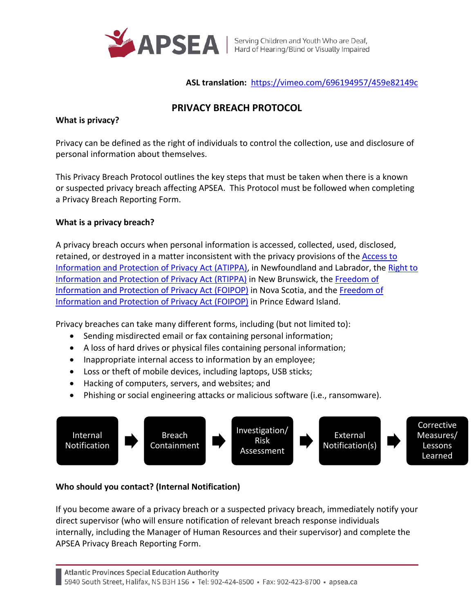

**ASL translation:** <https://vimeo.com/696194957/459e82149c>

# **PRIVACY BREACH PROTOCOL**

### **What is privacy?**

Privacy can be defined as the right of individuals to control the collection, use and disclosure of personal information about themselves.

This Privacy Breach Protocol outlines the key steps that must be taken when there is a known or suspected privacy breach affecting APSEA. This Protocol must be followed when completing a Privacy Breach Reporting Form.

# **What is a privacy breach?**

A privacy breach occurs when personal information is accessed, collected, used, disclosed, retained, or destroyed in a matter inconsistent with the privacy provisions of th[e Access to](https://www.assembly.nl.ca/legislation/sr/statutes/a01-2.htm)  [Information and Protection of Privacy Act \(ATIPPA\),](https://www.assembly.nl.ca/legislation/sr/statutes/a01-2.htm) in Newfoundland and Labrador, the [Right to](https://www.gnb.ca/legis/bill/FILE/56/3/Bill-89-e.htm)  [Information and Protection of Privacy Act \(RTIPPA\)](https://www.gnb.ca/legis/bill/FILE/56/3/Bill-89-e.htm) in New Brunswick, the [Freedom of](https://nslegislature.ca/sites/default/files/legc/statutes/freedom%20of%20information%20and%20protection%20of%20privacy.pdf)  [Information and Protection of Privacy Act \(FOIPOP\)](https://nslegislature.ca/sites/default/files/legc/statutes/freedom%20of%20information%20and%20protection%20of%20privacy.pdf) in Nova Scotia, and the [Freedom of](https://www.princeedwardisland.ca/sites/default/files/legislation/f-15-01-freedom_of_information_and_protection_of_privacy_act.pdf)  [Information and Protection of Privacy Act \(FOIPOP\)](https://www.princeedwardisland.ca/sites/default/files/legislation/f-15-01-freedom_of_information_and_protection_of_privacy_act.pdf) in Prince Edward Island.

Privacy breaches can take many different forms, including (but not limited to):

- Sending misdirected email or fax containing personal information;
- A loss of hard drives or physical files containing personal information;
- Inappropriate internal access to information by an employee;
- Loss or theft of mobile devices, including laptops, USB sticks;
- Hacking of computers, servers, and websites; and
- Phishing or social engineering attacks or malicious software (i.e., ransomware).



# **Who should you contact? (Internal Notification)**

If you become aware of a privacy breach or a suspected privacy breach, immediately notify your direct supervisor (who will ensure notification of relevant breach response individuals internally, including the Manager of Human Resources and their supervisor) and complete the APSEA Privacy Breach Reporting Form.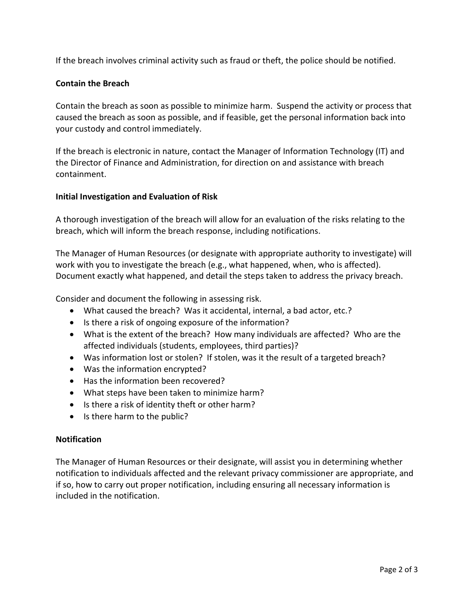If the breach involves criminal activity such as fraud or theft, the police should be notified.

# **Contain the Breach**

Contain the breach as soon as possible to minimize harm. Suspend the activity or process that caused the breach as soon as possible, and if feasible, get the personal information back into your custody and control immediately.

If the breach is electronic in nature, contact the Manager of Information Technology (IT) and the Director of Finance and Administration, for direction on and assistance with breach containment.

#### **Initial Investigation and Evaluation of Risk**

A thorough investigation of the breach will allow for an evaluation of the risks relating to the breach, which will inform the breach response, including notifications.

The Manager of Human Resources (or designate with appropriate authority to investigate) will work with you to investigate the breach (e.g., what happened, when, who is affected). Document exactly what happened, and detail the steps taken to address the privacy breach.

Consider and document the following in assessing risk.

- What caused the breach? Was it accidental, internal, a bad actor, etc.?
- Is there a risk of ongoing exposure of the information?
- What is the extent of the breach? How many individuals are affected? Who are the affected individuals (students, employees, third parties)?
- Was information lost or stolen? If stolen, was it the result of a targeted breach?
- Was the information encrypted?
- Has the information been recovered?
- What steps have been taken to minimize harm?
- Is there a risk of identity theft or other harm?
- Is there harm to the public?

# **Notification**

The Manager of Human Resources or their designate, will assist you in determining whether notification to individuals affected and the relevant privacy commissioner are appropriate, and if so, how to carry out proper notification, including ensuring all necessary information is included in the notification.